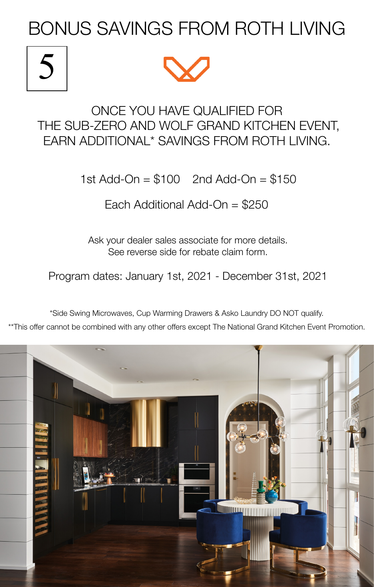BONUS SAVINGS FROM ROTH LIVING

## 5



## ONCE YOU HAVE QUALIFIED FOR THE SUB-ZERO AND WOLF GRAND KITCHEN EVENT, EARN ADDITIONAL\* SAVINGS FROM ROTH LIVING.

1st Add-On = \$100 2nd Add-On = \$150

Each Additional Add-On = \$250

Ask your dealer sales associate for more details. See reverse side for rebate claim form.

Program dates: January 1st, 2021 - December 31st, 2021

\*Side Swing Microwaves, Cup Warming Drawers & Asko Laundry DO NOT qualify.

\*\*This offer cannot be combined with any other offers except The National Grand Kitchen Event Promotion.